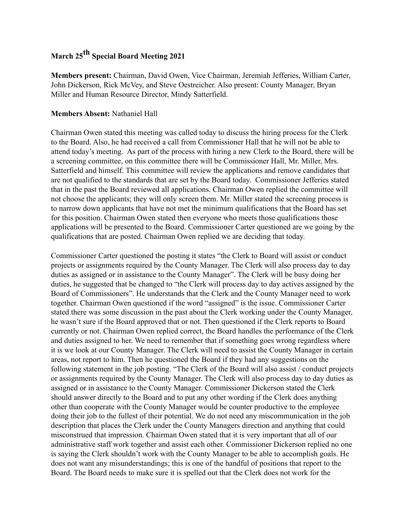## **March 25th Special Board Meeting 2021**

**Members present:** Chairman, David Owen, Vice Chairman, Jeremiah Jefferies, William Carter, John Dickerson, Rick McVey, and Steve Oestreicher. Also present: County Manager, Bryan Miller and Human Resource Director, Mindy Satterfield.

## **Members Absent:** Nathaniel Hall

Chairman Owen stated this meeting was called today to discuss the hiring process for the Clerk to the Board. Also, he had received a call from Commissioner Hall that he will not be able to attend today's meeting. As part of the process with hiring a new Clerk to the Board, there will be a screening committee, on this committee there will be Commissioner Hall, Mr. Miller, Mrs. Satterfield and himself. This committee will review the applications and remove candidates that are not qualified to the standards that are set by the Board today. Commissioner Jefferies stated that in the past the Board reviewed all applications. Chairman Owen replied the committee will not choose the applicants; they will only screen them. Mr. Miller stated the screening process is to narrow down applicants that have not met the minimum qualifications that the Board has set for this position. Chairman Owen stated then everyone who meets those qualifications those applications will be presented to the Board. Commissioner Carter questioned are we going by the qualifications that are posted. Chairman Owen replied we are deciding that today.

Commissioner Carter questioned the posting it states "the Clerk to Board will assist or conduct projects or assignments required by the County Manager. The Clerk will also process day to day duties as assigned or in assistance to the County Manager". The Clerk will be busy doing her duties, he suggested that be changed to "the Clerk will process day to day actives assigned by the Board of Commissioners". He understands that the Clerk and the County Manager need to work together. Chairman Owen questioned if the word "assigned" is the issue. Commissioner Carter stated there was some discussion in the past about the Clerk working under the County Manager, he wasn't sure if the Board approved that or not. Then questioned if the Clerk reports to Board currently or not. Chairman Owen replied correct, the Board handles the performance of the Clerk and duties assigned to her. We need to remember that if something goes wrong regardless where it is we look at our County Manager. The Clerk will need to assist the County Manager in certain areas, not report to him. Then he questioned the Board if they had any suggestions on the following statement in the job posting. "The Clerk of the Board will also assist / conduct projects or assignments required by the County Manager. The Clerk will also process day to day duties as assigned or in assistance to the County Manager. Commissioner Dickerson stated the Clerk should answer directly to the Board and to put any other wording if the Clerk does anything other than cooperate with the County Manager would be counter productive to the employee doing their job to the fullest of their potential. We do not need any miscommunication in the job description that places the Clerk under the County Managers direction and anything that could misconstrued that impression. Chairman Owen stated that it is very important that all of our administrative staff work together and assist each other. Commissioner Dickerson replied no one is saying the Clerk shouldn't work with the County Manager to be able to accomplish goals. He does not want any misunderstandings; this is one of the handful of positions that report to the Board. The Board needs to make sure it is spelled out that the Clerk does not work for the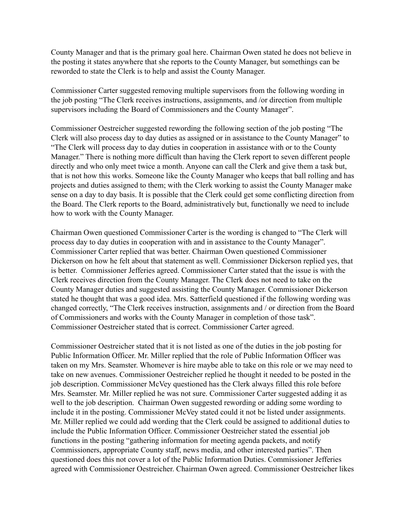County Manager and that is the primary goal here. Chairman Owen stated he does not believe in the posting it states anywhere that she reports to the County Manager, but somethings can be reworded to state the Clerk is to help and assist the County Manager.

Commissioner Carter suggested removing multiple supervisors from the following wording in the job posting "The Clerk receives instructions, assignments, and /or direction from multiple supervisors including the Board of Commissioners and the County Manager".

Commissioner Oestreicher suggested rewording the following section of the job posting "The Clerk will also process day to day duties as assigned or in assistance to the County Manager" to "The Clerk will process day to day duties in cooperation in assistance with or to the County Manager." There is nothing more difficult than having the Clerk report to seven different people directly and who only meet twice a month. Anyone can call the Clerk and give them a task but, that is not how this works. Someone like the County Manager who keeps that ball rolling and has projects and duties assigned to them; with the Clerk working to assist the County Manager make sense on a day to day basis. It is possible that the Clerk could get some conflicting direction from the Board. The Clerk reports to the Board, administratively but, functionally we need to include how to work with the County Manager.

Chairman Owen questioned Commissioner Carter is the wording is changed to "The Clerk will process day to day duties in cooperation with and in assistance to the County Manager". Commissioner Carter replied that was better. Chairman Owen questioned Commissioner Dickerson on how he felt about that statement as well. Commissioner Dickerson replied yes, that is better. Commissioner Jefferies agreed. Commissioner Carter stated that the issue is with the Clerk receives direction from the County Manager. The Clerk does not need to take on the County Manager duties and suggested assisting the County Manager. Commissioner Dickerson stated he thought that was a good idea. Mrs. Satterfield questioned if the following wording was changed correctly, "The Clerk receives instruction, assignments and / or direction from the Board of Commissioners and works with the County Manager in completion of those task". Commissioner Oestreicher stated that is correct. Commissioner Carter agreed.

Commissioner Oestreicher stated that it is not listed as one of the duties in the job posting for Public Information Officer. Mr. Miller replied that the role of Public Information Officer was taken on my Mrs. Seamster. Whomever is hire maybe able to take on this role or we may need to take on new avenues. Commissioner Oestreicher replied he thought it needed to be posted in the job description. Commissioner McVey questioned has the Clerk always filled this role before Mrs. Seamster. Mr. Miller replied he was not sure. Commissioner Carter suggested adding it as well to the job description. Chairman Owen suggested rewording or adding some wording to include it in the posting. Commissioner McVey stated could it not be listed under assignments. Mr. Miller replied we could add wording that the Clerk could be assigned to additional duties to include the Public Information Officer. Commissioner Oestreicher stated the essential job functions in the posting "gathering information for meeting agenda packets, and notify Commissioners, appropriate County staff, news media, and other interested parties". Then questioned does this not cover a lot of the Public Information Duties. Commissioner Jefferies agreed with Commissioner Oestreicher. Chairman Owen agreed. Commissioner Oestreicher likes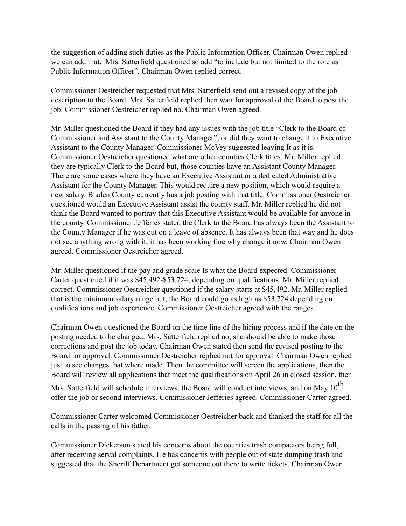the suggestion of adding such duties as the Public Information Officer. Chairman Owen replied we can add that. Mrs. Satterfield questioned so add "to include but not limited to the role as Public Information Officer". Chairman Owen replied correct.

Commissioner Oestreicher requested that Mrs. Satterfield send out a revised copy of the job description to the Board. Mrs. Satterfield replied then wait for approval of the Board to post the job. Commissioner Oestreicher replied no. Chairman Owen agreed.

Mr. Miller questioned the Board if they had any issues with the job title "Clerk to the Board of Commissioner and Assistant to the County Manager", or did they want to change it to Executive Assistant to the County Manager. Commissioner McVey suggested leaving It as it is. Commissioner Oestreicher questioned what are other counties Clerk titles. Mr. Miller replied they are typically Clerk to the Board but, those counties have an Assistant County Manager. There are some cases where they have an Executive Assistant or a dedicated Administrative Assistant for the County Manager. This would require a new position, which would require a new salary. Bladen County currently has a job posting with that title. Commissioner Oestreicher questioned would an Executive Assistant assist the county staff. Mr. Miller replied he did not think the Board wanted to portray that this Executive Assistant would be available for anyone in the county. Commissioner Jefferies stated the Clerk to the Board has always been the Assistant to the County Manager if he was out on a leave of absence. It has always been that way and he does not see anything wrong with it; it has been working fine why change it now. Chairman Owen agreed. Commissioner Oestreicher agreed.

Mr. Miller questioned if the pay and grade scale Is what the Board expected. Commissioner Carter questioned if it was \$45,492-\$53,724, depending on qualifications. Mr. Miller replied correct. Commissioner Oestreicher questioned if the salary starts at \$45,492. Mr. Miller replied that is the minimum salary range but, the Board could go as high as \$53,724 depending on qualifications and job experience. Commissioner Oestreicher agreed with the ranges.

Chairman Owen questioned the Board on the time line of the hiring process and if the date on the posting needed to be changed. Mrs. Satterfield replied no, she should be able to make those corrections and post the job today. Chairman Owen stated then send the revised posting to the Board for approval. Commissioner Oestreicher replied not for approval. Chairman Owen replied just to see changes that where made. Then the committee will screen the applications, then the Board will review all applications that meet the qualifications on April 26 in closed session, then

Mrs. Satterfield will schedule interviews, the Board will conduct interviews, and on May 10<sup>th</sup> offer the job or second interviews. Commissioner Jefferies agreed. Commissioner Carter agreed.

Commissioner Carter welcomed Commissioner Oestreicher back and thanked the staff for all the calls in the passing of his father.

Commissioner Dickerson stated his concerns about the counties trash compactors being full, after receiving serval complaints. He has concerns with people out of state dumping trash and suggested that the Sheriff Department get someone out there to write tickets. Chairman Owen